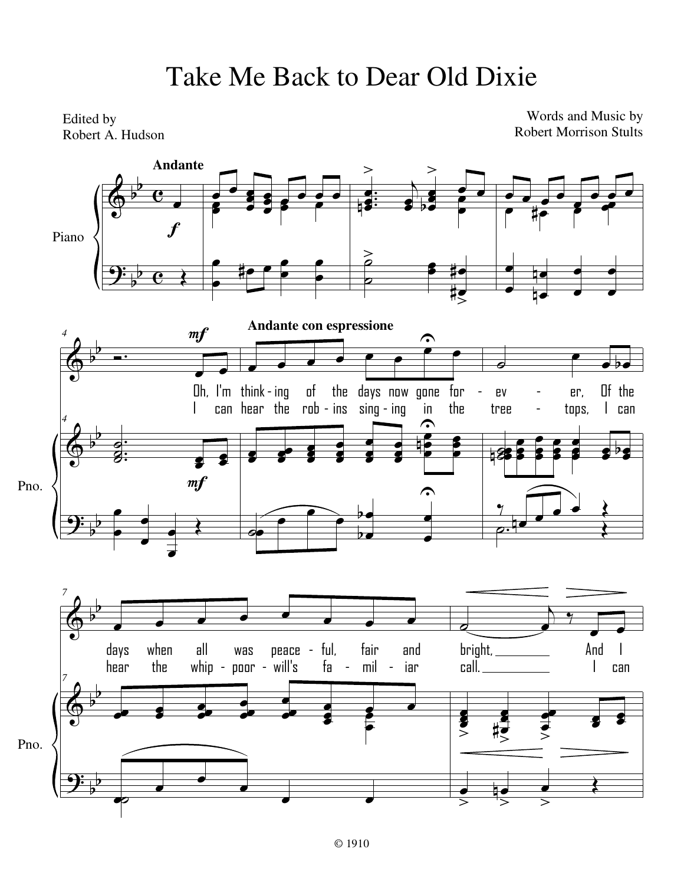## Take Me Back to Dear Old Dixie

Edited by Robert A. Hudson

Words and Music by Robert Morrison Stults

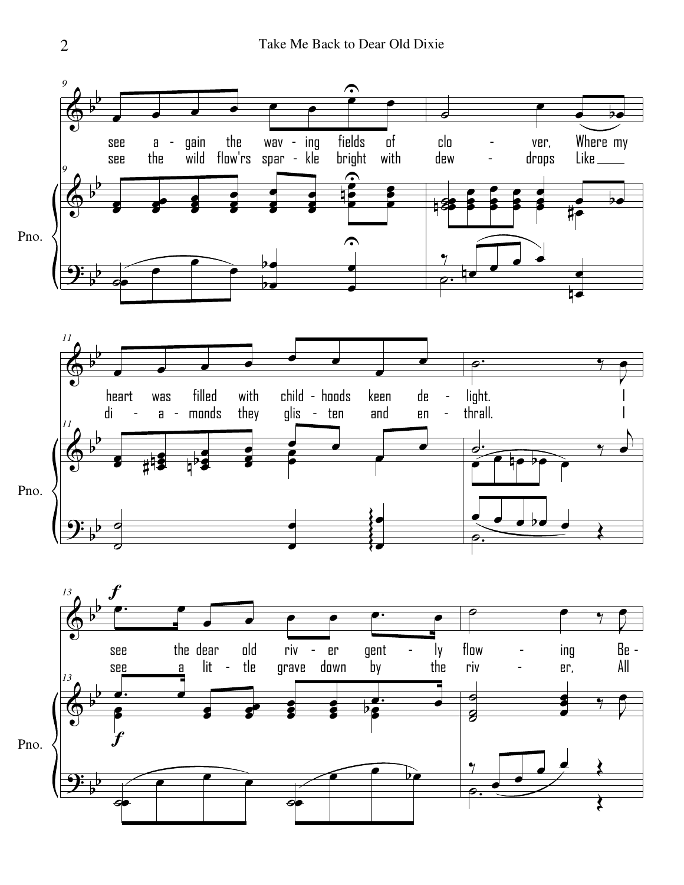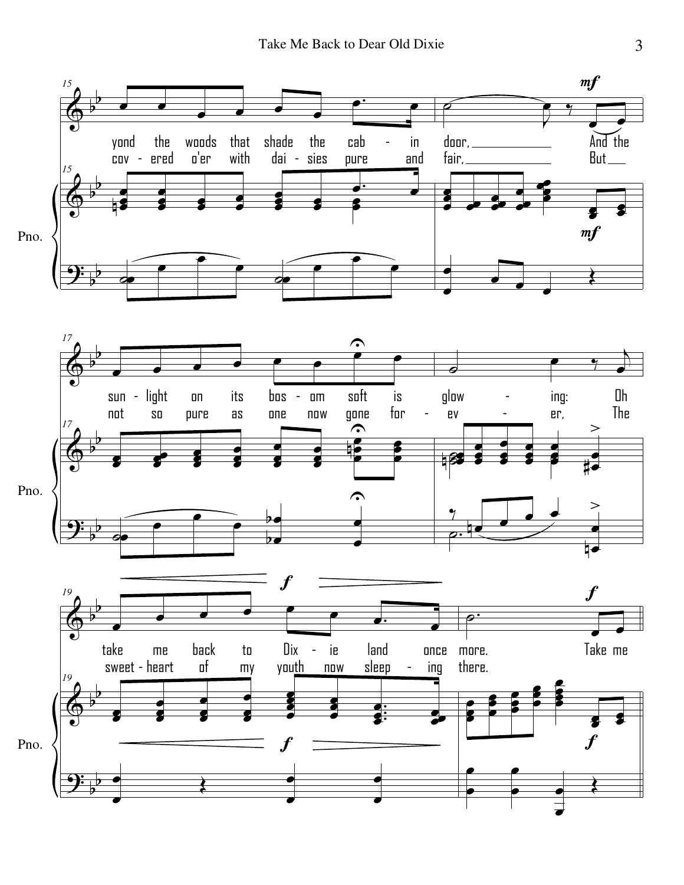